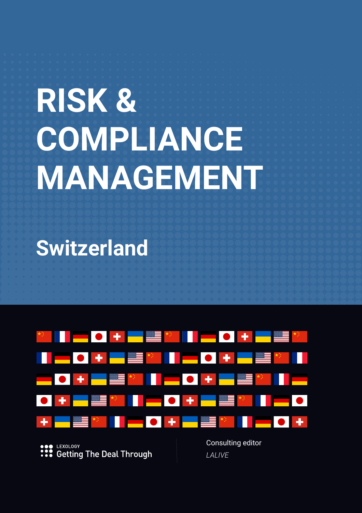# **RISK & COMPLIANCE MANAGEMENT**

**Switzerland**

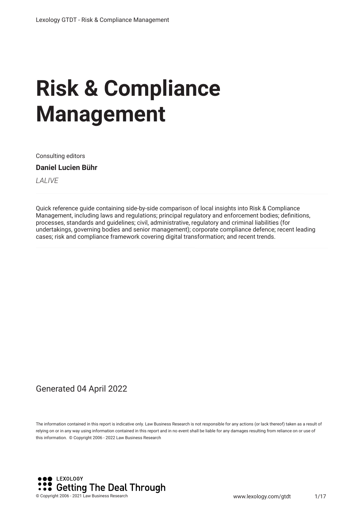# **Risk & Compliance Management**

Consulting editors

#### **Daniel Lucien Bühr**

*LALIVE*

Quick reference guide containing side-by-side comparison of local insights into Risk & Compliance Management, including laws and regulations; principal regulatory and enforcement bodies; defnitions, processes, standards and guidelines; civil, administrative, regulatory and criminal liabilities (for undertakings, governing bodies and senior management); corporate compliance defence; recent leading cases; risk and compliance framework covering digital transformation; and recent trends.

#### Generated 04 April 2022

The information contained in this report is indicative only. Law Business Research is not responsible for any actions (or lack thereof) taken as a result of relying on or in any way using information contained in this report and in no event shall be liable for any damages resulting from reliance on or use of this information. © Copyright 2006 - 2022 Law Business Research

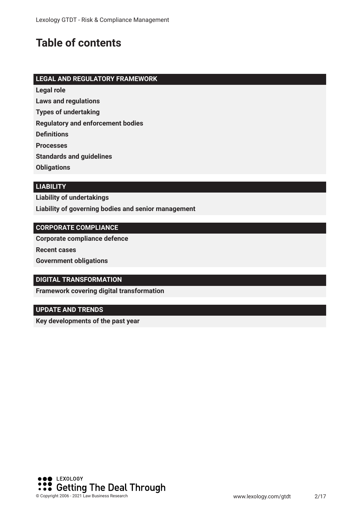## **Table of contents**

#### **LEGAL AND REGULATORY FRAMEWORK**

**Legal role**

**Laws and regulations**

**Types of undertaking**

**Regulatory and enforcement bodies**

**Defnitions**

**Processes**

**Standards and guidelines**

**Obligations**

#### **LIABILITY**

**Liability of undertakings Liability of governing bodies and senior management**

#### **CORPORATE COMPLIANCE**

**Corporate compliance defence**

**Recent cases**

**Government obligations**

#### **DIGITAL TRANSFORMATION**

**Framework covering digital transformation**

#### **UPDATE AND TRENDS**

**Key developments of the past year**

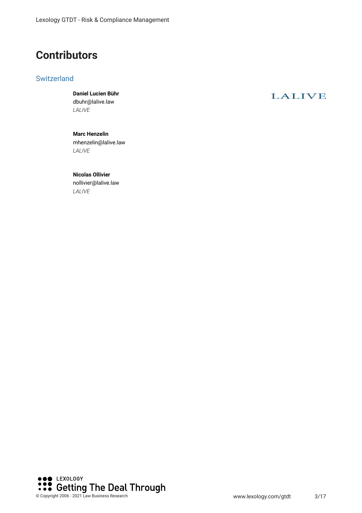Lexology GTDT - Risk & Compliance Management

## **Contributors**

#### **Switzerland**

**Daniel Lucien Bühr** dbuhr@lalive.law *LALIVE*

**LALIVE** 

**Marc Henzelin** mhenzelin@lalive.law *LALIVE*

**Nicolas Ollivier** nollivier@lalive.law *LALIVE*

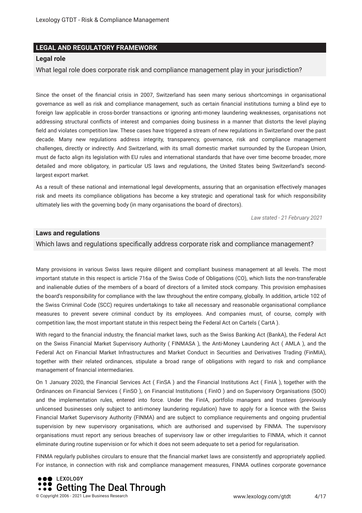#### **LEGAL AND REGULATORY FRAMEWORK**

#### **Legal role**

#### What legal role does corporate risk and compliance management play in your jurisdiction?

Since the onset of the fnancial crisis in 2007, Switzerland has seen many serious shortcomings in organisational governance as well as risk and compliance management, such as certain fnancial institutions turning a blind eye to foreign law applicable in cross-border transactions or ignoring anti-money laundering weaknesses, organisations not addressing structural conflicts of interest and companies doing business in a manner that distorts the level playing feld and violates competition law. These cases have triggered a stream of new regulations in Switzerland over the past decade. Many new regulations address integrity, transparency, governance, risk and compliance management challenges, directly or indirectly. And Switzerland, with its small domestic market surrounded by the European Union, must de facto align its legislation with EU rules and international standards that have over time become broader, more detailed and more obligatory, in particular US laws and regulations, the United States being Switzerland's secondlargest export market.

As a result of these national and international legal developments, assuring that an organisation effectively manages risk and meets its compliance obligations has become a key strategic and operational task for which responsibility ultimately lies with the governing body (in many organisations the board of directors).

*Law stated - 21 February 2021*

#### **Laws and regulations**

#### Which laws and regulations specifcally address corporate risk and compliance management?

Many provisions in various Swiss laws require diligent and compliant business management at all levels. The most important statute in this respect is article 716a of the Swiss Code of Obligations (CO), which lists the non-transferable and inalienable duties of the members of a board of directors of a limited stock company. This provision emphasises the board's responsibility for compliance with the law throughout the entire company, globally. In addition, article 102 of the Swiss Criminal Code (SCC) requires undertakings to take all necessary and reasonable organisational compliance measures to prevent severe criminal conduct by its employees. And companies must, of course, comply with competition law, the most important statute in this respect being the Federal Act on Cartels ( CartA ).

With regard to the fnancial industry, the fnancial market laws, such as the Swiss Banking Act (BankA), the Federal Act on the Swiss Financial Market Supervisory Authority ( FINMASA ), the Anti-Money Laundering Act ( AMLA ), and the Federal Act on Financial Market Infrastructures and Market Conduct in Securities and Derivatives Trading (FinMIA), together with their related ordinances, stipulate a broad range of obligations with regard to risk and compliance management of fnancial intermediaries.

On 1 January 2020, the Financial Services Act ( FinSA ) and the Financial Institutions Act ( FinIA ), together with the Ordinances on Financial Services ( FinSO ), on Financial Institutions ( FinIO ) and on Supervisory Organisations (SOO) and the implementation rules, entered into force. Under the FinIA, portfolio managers and trustees (previously unlicensed businesses only subject to anti-money laundering regulation) have to apply for a licence with the Swiss Financial Market Supervisory Authority (FINMA) and are subject to compliance requirements and ongoing prudential supervision by new supervisory organisations, which are authorised and supervised by FINMA. The supervisory organisations must report any serious breaches of supervisory law or other irregularities to FINMA, which it cannot eliminate during routine supervision or for which it does not seem adequate to set a period for regularisation.

FINMA regularly publishes circulars to ensure that the fnancial market laws are consistently and appropriately applied. For instance, in connection with risk and compliance management measures, FINMA outlines corporate governance

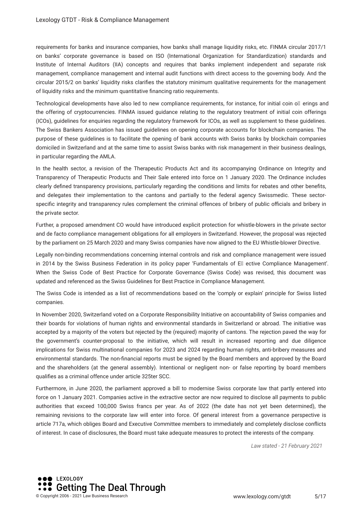requirements for banks and insurance companies, how banks shall manage liquidity risks, etc. FINMA circular 2017/1 on banks' corporate governance is based on ISO (International Organization for Standardization) standards and Institute of Internal Auditors (IIA) concepts and requires that banks implement independent and separate risk management, compliance management and internal audit functions with direct access to the governing body. And the circular 2015/2 on banks' liquidity risks clarifes the statutory minimum qualitative requirements for the management of liquidity risks and the minimum quantitative fnancing ratio requirements.

Technological developments have also led to new compliance requirements, for instance, for initial coin o $\mathbb O$  erings and the offering of cryptocurrencies. FINMA issued guidance relating to the regulatory treatment of initial coin offerings (ICOs), guidelines for enquiries regarding the regulatory framework for ICOs, as well as supplement to these guidelines. The Swiss Bankers Association has issued guidelines on opening corporate accounts for blockchain companies. The purpose of these guidelines is to facilitate the opening of bank accounts with Swiss banks by blockchain companies domiciled in Switzerland and at the same time to assist Swiss banks with risk management in their business dealings, in particular regarding the AMLA.

In the health sector, a revision of the Therapeutic Products Act and its accompanying Ordinance on Integrity and Transparency of Therapeutic Products and Their Sale entered into force on 1 January 2020. The Ordinance includes clearly defned transparency provisions, particularly regarding the conditions and limits for rebates and other benefts, and delegates their implementation to the cantons and partially to the federal agency Swissmedic. These sectorspecific integrity and transparency rules complement the criminal offences of bribery of public officials and bribery in the private sector.

Further, a proposed amendment CO would have introduced explicit protection for whistle-blowers in the private sector and de facto compliance management obligations for all employers in Switzerland. However, the proposal was rejected by the parliament on 25 March 2020 and many Swiss companies have now aligned to the EU Whistle-blower Directive.

Legally non-binding recommendations concerning internal controls and risk and compliance management were issued in 2014 by the Swiss Business Federation in its policy paper 'Fundamentals of EM ective Compliance Management'. When the Swiss Code of Best Practice for Corporate Governance (Swiss Code) was revised, this document was updated and referenced as the Swiss Guidelines for Best Practice in Compliance Management.

The Swiss Code is intended as a list of recommendations based on the 'comply or explain' principle for Swiss listed companies.

In November 2020, Switzerland voted on a Corporate Responsibility Initiative on accountability of Swiss companies and their boards for violations of human rights and environmental standards in Switzerland or abroad. The initiative was accepted by a majority of the voters but rejected by the (required) majority of cantons. The rejection paved the way for the government's counter-proposal to the initiative, which will result in increased reporting and due diligence implications for Swiss multinational companies for 2023 and 2024 regarding human rights, anti-bribery measures and environmental standards. The non-fnancial reports must be signed by the Board members and approved by the Board and the shareholders (at the general assembly). Intentional or negligent non- or false reporting by board members qualifes as a criminal offence under article 325ter SCC.

Furthermore, in June 2020, the parliament approved a bill to modernise Swiss corporate law that partly entered into force on 1 January 2021. Companies active in the extractive sector are now required to disclose all payments to public authorities that exceed 100,000 Swiss francs per year. As of 2022 (the date has not yet been determined), the remaining revisions to the corporate law will enter into force. Of general interest from a governance perspective is article 717a, which obliges Board and Executive Committee members to immediately and completely disclose conflicts of interest. In case of disclosures, the Board must take adequate measures to protect the interests of the company.

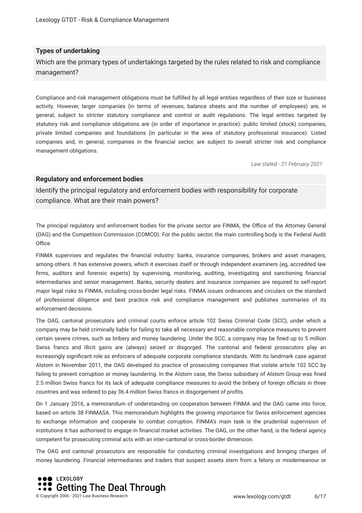#### **Types of undertaking**

Which are the primary types of undertakings targeted by the rules related to risk and compliance management?

Compliance and risk management obligations must be fulflled by all legal entities regardless of their size or business activity. However, larger companies (in terms of revenues, balance sheets and the number of employees) are, in general, subject to stricter statutory compliance and control or audit regulations. The legal entities targeted by statutory risk and compliance obligations are (in order of importance in practice): public limited (stock) companies, private limited companies and foundations (in particular in the area of statutory professional insurance). Listed companies and, in general, companies in the fnancial sector, are subject to overall stricter risk and compliance management obligations.

*Law stated - 21 February 2021*

#### **Regulatory and enforcement bodies**

Identify the principal regulatory and enforcement bodies with responsibility for corporate compliance. What are their main powers?

The principal regulatory and enforcement bodies for the private sector are FINMA, the Office of the Attorney General (OAG) and the Competition Commission (COMCO). For the public sector, the main controlling body is the Federal Audit Office.

FINMA supervises and regulates the fnancial industry: banks, insurance companies, brokers and asset managers, among others. It has extensive powers, which it exercises itself or through independent examiners (eg, accredited law frms, auditors and forensic experts) by supervising, monitoring, auditing, investigating and sanctioning fnancial intermediaries and senior management. Banks, security dealers and insurance companies are required to self-report major legal risks to FINMA, including cross-border legal risks. FINMA issues ordinances and circulars on the standard of professional diligence and best practice risk and compliance management and publishes summaries of its enforcement decisions.

The OAG, cantonal prosecutors and criminal courts enforce article 102 Swiss Criminal Code (SCC), under which a company may be held criminally liable for failing to take all necessary and reasonable compliance measures to prevent certain severe crimes, such as bribery and money laundering. Under the SCC, a company may be fned up to 5 million Swiss francs and illicit gains are (always) seized or disgorged. The cantonal and federal prosecutors play an increasingly signifcant role as enforcers of adequate corporate compliance standards. With its landmark case against Alstom in November 2011, the OAG developed its practice of prosecuting companies that violate article 102 SCC by failing to prevent corruption or money laundering. In the Alstom case, the Swiss subsidiary of Alstom Group was fned 2.5 million Swiss francs for its lack of adequate compliance measures to avoid the bribery of foreign officials in three countries and was ordered to pay 36.4 million Swiss francs in disgorgement of profts.

On 1 January 2016, a memorandum of understanding on cooperation between FINMA and the OAG came into force, based on article 38 FINMASA. This memorandum highlights the growing importance for Swiss enforcement agencies to exchange information and cooperate to combat corruption. FINMA's main task is the prudential supervision of institutions it has authorised to engage in fnancial market activities. The OAG, on the other hand, is the federal agency competent for prosecuting criminal acts with an inter-cantonal or cross-border dimension.

The OAG and cantonal prosecutors are responsible for conducting criminal investigations and bringing charges of money laundering. Financial intermediaries and traders that suspect assets stem from a felony or misdemeanour or

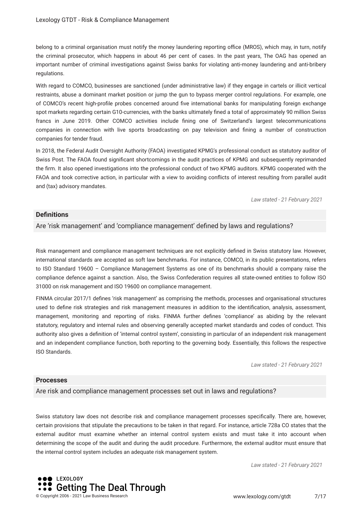belong to a criminal organisation must notify the money laundering reporting office (MROS), which may, in turn, notify the criminal prosecutor, which happens in about 46 per cent of cases. In the past years, The OAG has opened an important number of criminal investigations against Swiss banks for violating anti-money laundering and anti-bribery regulations.

With regard to COMCO, businesses are sanctioned (under administrative law) if they engage in cartels or illicit vertical restraints, abuse a dominant market position or jump the gun to bypass merger control regulations. For example, one of COMCO's recent high-profle probes concerned around fve international banks for manipulating foreign exchange spot markets regarding certain G10-currencies, with the banks ultimately fned a total of approximately 90 million Swiss francs in June 2019. Other COMCO activities include fning one of Switzerland's largest telecommunications companies in connection with live sports broadcasting on pay television and fning a number of construction companies for tender fraud.

In 2018, the Federal Audit Oversight Authority (FAOA) investigated KPMG's professional conduct as statutory auditor of Swiss Post. The FAOA found signifcant shortcomings in the audit practices of KPMG and subsequently reprimanded the frm. It also opened investigations into the professional conduct of two KPMG auditors. KPMG cooperated with the FAOA and took corrective action, in particular with a view to avoiding conflicts of interest resulting from parallel audit and (tax) advisory mandates.

*Law stated - 21 February 2021*

#### **Defnitions**

Are 'risk management' and 'compliance management' defned by laws and regulations?

Risk management and compliance management techniques are not explicitly defned in Swiss statutory law. However, international standards are accepted as soft law benchmarks. For instance, COMCO, in its public presentations, refers to ISO Standard 19600 – Compliance Management Systems as one of its benchmarks should a company raise the compliance defence against a sanction. Also, the Swiss Confederation requires all state-owned entities to follow ISO 31000 on risk management and ISO 19600 on compliance management.

FINMA circular 2017/1 defnes 'risk management' as comprising the methods, processes and organisational structures used to defne risk strategies and risk management measures in addition to the identifcation, analysis, assessment, management, monitoring and reporting of risks. FINMA further defnes 'compliance' as abiding by the relevant statutory, regulatory and internal rules and observing generally accepted market standards and codes of conduct. This authority also gives a defnition of 'internal control system', consisting in particular of an independent risk management and an independent compliance function, both reporting to the governing body. Essentially, this follows the respective ISO Standards.

*Law stated - 21 February 2021*

#### **Processes**

Are risk and compliance management processes set out in laws and regulations?

Swiss statutory law does not describe risk and compliance management processes specifcally. There are, however, certain provisions that stipulate the precautions to be taken in that regard. For instance, article 728a CO states that the external auditor must examine whether an internal control system exists and must take it into account when determining the scope of the audit and during the audit procedure. Furthermore, the external auditor must ensure that the internal control system includes an adequate risk management system.

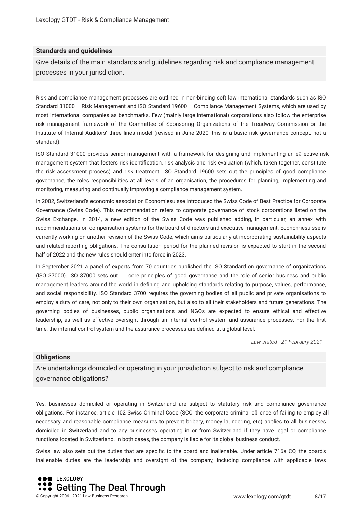#### **Standards and guidelines**

Give details of the main standards and guidelines regarding risk and compliance management processes in your jurisdiction.

Risk and compliance management processes are outlined in non-binding soft law international standards such as ISO Standard 31000 – Risk Management and ISO Standard 19600 – Compliance Management Systems, which are used by most international companies as benchmarks. Few (mainly large international) corporations also follow the enterprise risk management framework of the Committee of Sponsoring Organizations of the Treadway Commission or the Institute of Internal Auditors' three lines model (revised in June 2020; this is a basic risk governance concept, not a standard).

ISO Standard 31000 provides senior management with a framework for designing and implementing an ell ective risk management system that fosters risk identifcation, risk analysis and risk evaluation (which, taken together, constitute the risk assessment process) and risk treatment. ISO Standard 19600 sets out the principles of good compliance governance, the roles responsibilities at all levels of an organisation, the procedures for planning, implementing and monitoring, measuring and continually improving a compliance management system.

In 2002, Switzerland's economic association Economiesuisse introduced the Swiss Code of Best Practice for Corporate Governance (Swiss Code). This recommendation refers to corporate governance of stock corporations listed on the Swiss Exchange. In 2014, a new edition of the Swiss Code was published adding, in particular, an annex with recommendations on compensation systems for the board of directors and executive management. Economiesuisse is currently working on another revision of the Swiss Code, which aims particularly at incorporating sustainability aspects and related reporting obligations. The consultation period for the planned revision is expected to start in the second half of 2022 and the new rules should enter into force in 2023.

In September 2021 a panel of experts from 70 countries published the ISO Standard on governance of organizations (ISO 37000). ISO 37000 sets out 11 core principles of good governance and the role of senior business and public management leaders around the world in defning and upholding standards relating to purpose, values, performance, and social responsibility. ISO Standard 3700 requires the governing bodies of all public and private organisations to employ a duty of care, not only to their own organisation, but also to all their stakeholders and future generations. The governing bodies of businesses, public organisations and NGOs are expected to ensure ethical and effective leadership, as well as effective oversight through an internal control system and assurance processes. For the frst time, the internal control system and the assurance processes are defned at a global level.

*Law stated - 21 February 2021*

#### **Obligations**

Are undertakings domiciled or operating in your jurisdiction subject to risk and compliance governance obligations?

Yes, businesses domiciled or operating in Switzerland are subject to statutory risk and compliance governance obligations. For instance, article 102 Swiss Criminal Code (SCC; the corporate criminal o<sup>n</sup> ence of failing to employ all necessary and reasonable compliance measures to prevent bribery, money laundering, etc) applies to all businesses domiciled in Switzerland and to any businesses operating in or from Switzerland if they have legal or compliance functions located in Switzerland. In both cases, the company is liable for its global business conduct.

Swiss law also sets out the duties that are specifc to the board and inalienable. Under article 716a CO, the board's inalienable duties are the leadership and oversight of the company, including compliance with applicable laws

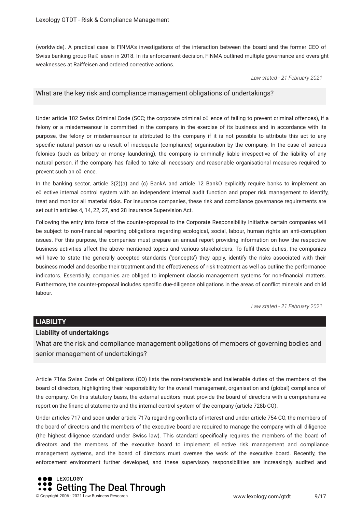(worldwide). A practical case is FINMA's investigations of the interaction between the board and the former CEO of Swiss banking group Rai<sup>m</sup> eisen in 2018. In its enforcement decision, FINMA outlined multiple governance and oversight weaknesses at Raiffeisen and ordered corrective actions.

*Law stated - 21 February 2021*

#### What are the key risk and compliance management obligations of undertakings?

Under article 102 Swiss Criminal Code (SCC; the corporate criminal  $\circ$  ence of failing to prevent criminal offences), if a felony or a misdemeanour is committed in the company in the exercise of its business and in accordance with its purpose, the felony or misdemeanour is attributed to the company if it is not possible to attribute this act to any specifc natural person as a result of inadequate (compliance) organisation by the company. In the case of serious felonies (such as bribery or money laundering), the company is criminally liable irrespective of the liability of any natural person, if the company has failed to take all necessary and reasonable organisational measures required to prevent such an  $o\mathbb{Z}$  ence.

In the banking sector, article 3(2)(a) and (c) BankA and article 12 BankO explicitly require banks to implement an e<sup>n</sup> ective internal control system with an independent internal audit function and proper risk management to identify, treat and monitor all material risks. For insurance companies, these risk and compliance governance requirements are set out in articles 4, 14, 22, 27, and 28 Insurance Supervision Act.

Following the entry into force of the counter-proposal to the Corporate Responsibility Initiative certain companies will be subject to non-fnancial reporting obligations regarding ecological, social, labour, human rights an anti-corruption issues. For this purpose, the companies must prepare an annual report providing information on how the respective business activities affect the above-mentioned topics and various stakeholders. To fulfl these duties, the companies will have to state the generally accepted standards ('concepts') they apply, identify the risks associated with their business model and describe their treatment and the effectiveness of risk treatment as well as outline the performance indicators. Essentially, companies are obliged to implement classic management systems for non-fnancial matters. Furthermore, the counter-proposal includes specifc due-diligence obligations in the areas of conflict minerals and child labour.

*Law stated - 21 February 2021*

#### **LIABILITY**

#### **Liability of undertakings**

What are the risk and compliance management obligations of members of governing bodies and senior management of undertakings?

Article 716a Swiss Code of Obligations (CO) lists the non-transferable and inalienable duties of the members of the board of directors, highlighting their responsibility for the overall management, organisation and (global) compliance of the company. On this statutory basis, the external auditors must provide the board of directors with a comprehensive report on the fnancial statements and the internal control system of the company (article 728b CO).

Under articles 717 and soon under article 717a regarding conflicts of interest and under article 754 CO, the members of the board of directors and the members of the executive board are required to manage the company with all diligence (the highest diligence standard under Swiss law). This standard specifcally requires the members of the board of directors and the members of the executive board to implement  $e\mathbb{I}$  ective risk management and compliance management systems, and the board of directors must oversee the work of the executive board. Recently, the enforcement environment further developed, and these supervisory responsibilities are increasingly audited and

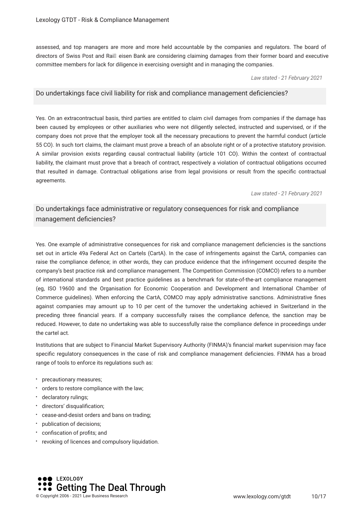assessed, and top managers are more and more held accountable by the companies and regulators. The board of directors of Swiss Post and Rai<sup>n</sup> eisen Bank are considering claiming damages from their former board and executive committee members for lack for diligence in exercising oversight and in managing the companies.

*Law stated - 21 February 2021*

#### Do undertakings face civil liability for risk and compliance management defciencies?

Yes. On an extracontractual basis, third parties are entitled to claim civil damages from companies if the damage has been caused by employees or other auxiliaries who were not diligently selected, instructed and supervised, or if the company does not prove that the employer took all the necessary precautions to prevent the harmful conduct (article 55 CO). In such tort claims, the claimant must prove a breach of an absolute right or of a protective statutory provision. A similar provision exists regarding causal contractual liability (article 101 CO). Within the context of contractual liability, the claimant must prove that a breach of contract, respectively a violation of contractual obligations occurred that resulted in damage. Contractual obligations arise from legal provisions or result from the specifc contractual agreements.

*Law stated - 21 February 2021*

#### Do undertakings face administrative or regulatory consequences for risk and compliance management deficiencies?

Yes. One example of administrative consequences for risk and compliance management defciencies is the sanctions set out in article 49a Federal Act on Cartels (CartA). In the case of infringements against the CartA, companies can raise the compliance defence; in other words, they can produce evidence that the infringement occurred despite the company's best practice risk and compliance management. The Competition Commission (COMCO) refers to a number of international standards and best practice guidelines as a benchmark for state-of-the-art compliance management (eg, ISO 19600 and the Organisation for Economic Cooperation and Development and International Chamber of Commerce guidelines). When enforcing the CartA, COMCO may apply administrative sanctions. Administrative fnes against companies may amount up to 10 per cent of the turnover the undertaking achieved in Switzerland in the preceding three fnancial years. If a company successfully raises the compliance defence, the sanction may be reduced. However, to date no undertaking was able to successfully raise the compliance defence in proceedings under the cartel act.

Institutions that are subject to Financial Market Supervisory Authority (FINMA)'s fnancial market supervision may face specifc regulatory consequences in the case of risk and compliance management defciencies. FINMA has a broad range of tools to enforce its regulations such as:

- \* precautionary measures;
- \* orders to restore compliance with the law;
- declaratory rulings;
- directors' disqualifcation;
- cease-and-desist orders and bans on trading;
- publication of decisions;
- confscation of profts; and
- revoking of licences and compulsory liquidation.

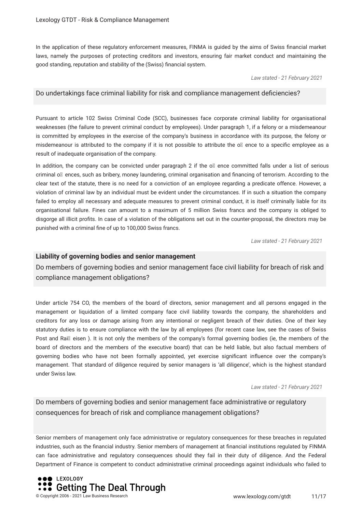In the application of these regulatory enforcement measures, FINMA is guided by the aims of Swiss fnancial market laws, namely the purposes of protecting creditors and investors, ensuring fair market conduct and maintaining the good standing, reputation and stability of the (Swiss) fnancial system.

*Law stated - 21 February 2021*

#### Do undertakings face criminal liability for risk and compliance management defciencies?

Pursuant to article 102 Swiss Criminal Code (SCC), businesses face corporate criminal liability for organisational weaknesses (the failure to prevent criminal conduct by employees). Under paragraph 1, if a felony or a misdemeanour is committed by employees in the exercise of the company's business in accordance with its purpose, the felony or misdemeanour is attributed to the company if it is not possible to attribute the  $\alpha\mathbb{N}$  ence to a specific employee as a result of inadequate organisation of the company.

In addition, the company can be convicted under paragraph 2 if the  $\circ$  ence committed falls under a list of serious criminal oll ences, such as bribery, money laundering, criminal organisation and financing of terrorism. According to the clear text of the statute, there is no need for a conviction of an employee regarding a predicate offence. However, a violation of criminal law by an individual must be evident under the circumstances. If in such a situation the company failed to employ all necessary and adequate measures to prevent criminal conduct, it is itself criminally liable for its organisational failure. Fines can amount to a maximum of 5 million Swiss francs and the company is obliged to disgorge all illicit profts. In case of a violation of the obligations set out in the counter-proposal, the directors may be punished with a criminal fne of up to 100,000 Swiss francs.

*Law stated - 21 February 2021*

#### **Liability of governing bodies and senior management**

Do members of governing bodies and senior management face civil liability for breach of risk and compliance management obligations?

Under article 754 CO, the members of the board of directors, senior management and all persons engaged in the management or liquidation of a limited company face civil liability towards the company, the shareholders and creditors for any loss or damage arising from any intentional or negligent breach of their duties. One of their key statutory duties is to ensure compliance with the law by all employees (for recent case law, see the cases of Swiss Post and RaiM eisen). It is not only the members of the company's formal governing bodies (ie, the members of the board of directors and the members of the executive board) that can be held liable, but also factual members of governing bodies who have not been formally appointed, yet exercise signifcant influence over the company's management. That standard of diligence required by senior managers is 'all diligence', which is the highest standard under Swiss law.

*Law stated - 21 February 2021*

Do members of governing bodies and senior management face administrative or regulatory consequences for breach of risk and compliance management obligations?

Senior members of management only face administrative or regulatory consequences for these breaches in regulated industries, such as the fnancial industry. Senior members of management at fnancial institutions regulated by FINMA can face administrative and regulatory consequences should they fail in their duty of diligence. And the Federal Department of Finance is competent to conduct administrative criminal proceedings against individuals who failed to

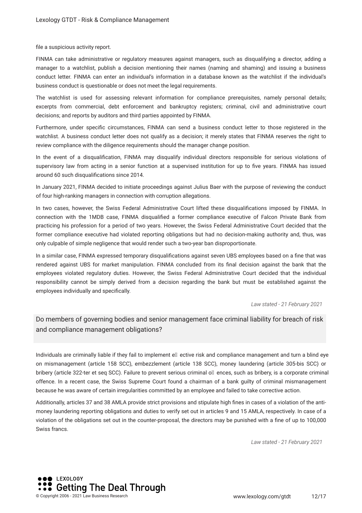fle a suspicious activity report.

FINMA can take administrative or regulatory measures against managers, such as disqualifying a director, adding a manager to a watchlist, publish a decision mentioning their names (naming and shaming) and issuing a business conduct letter. FINMA can enter an individual's information in a database known as the watchlist if the individual's business conduct is questionable or does not meet the legal requirements.

The watchlist is used for assessing relevant information for compliance prerequisites, namely personal details; excerpts from commercial, debt enforcement and bankruptcy registers; criminal, civil and administrative court decisions; and reports by auditors and third parties appointed by FINMA.

Furthermore, under specifc circumstances, FINMA can send a business conduct letter to those registered in the watchlist. A business conduct letter does not qualify as a decision; it merely states that FINMA reserves the right to review compliance with the diligence requirements should the manager change position.

In the event of a disqualifcation, FINMA may disqualify individual directors responsible for serious violations of supervisory law from acting in a senior function at a supervised institution for up to five years. FINMA has issued around 60 such disqualifcations since 2014.

In January 2021, FINMA decided to initiate proceedings against Julius Baer with the purpose of reviewing the conduct of four high-ranking managers in connection with corruption allegations.

In two cases, however, the Swiss Federal Administrative Court lifted these disqualifcations imposed by FINMA. In connection with the 1MDB case, FINMA disqualifed a former compliance executive of Falcon Private Bank from practicing his profession for a period of two years. However, the Swiss Federal Administrative Court decided that the former compliance executive had violated reporting obligations but had no decision-making authority and, thus, was only culpable of simple negligence that would render such a two-year ban disproportionate.

In a similar case, FINMA expressed temporary disqualifcations against seven UBS employees based on a fne that was rendered against UBS for market manipulation. FINMA concluded from its fnal decision against the bank that the employees violated regulatory duties. However, the Swiss Federal Administrative Court decided that the individual responsibility cannot be simply derived from a decision regarding the bank but must be established against the employees individually and specifcally.

*Law stated - 21 February 2021*

Do members of governing bodies and senior management face criminal liability for breach of risk and compliance management obligations?

Individuals are criminally liable if they fail to implement  $e\mathbb{I}$  ective risk and compliance management and turn a blind eye on mismanagement (article 158 SCC), embezzlement (article 138 SCC), money laundering (article 305-bis SCC) or bribery (article 322-ter et seq SCC). Failure to prevent serious criminal o ences, such as bribery, is a corporate criminal offence. In a recent case, the Swiss Supreme Court found a chairman of a bank guilty of criminal mismanagement because he was aware of certain irregularities committed by an employee and failed to take corrective action.

Additionally, articles 37 and 38 AMLA provide strict provisions and stipulate high fnes in cases of a violation of the antimoney laundering reporting obligations and duties to verify set out in articles 9 and 15 AMLA, respectively. In case of a violation of the obligations set out in the counter-proposal, the directors may be punished with a fne of up to 100,000 Swiss francs.

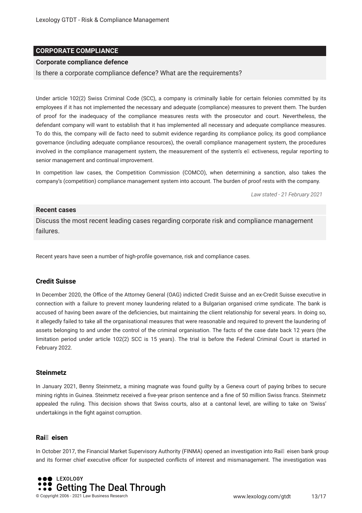#### **CORPORATE COMPLIANCE**

#### **Corporate compliance defence**

#### Is there a corporate compliance defence? What are the requirements?

Under article 102(2) Swiss Criminal Code (SCC), a company is criminally liable for certain felonies committed by its employees if it has not implemented the necessary and adequate (compliance) measures to prevent them. The burden of proof for the inadequacy of the compliance measures rests with the prosecutor and court. Nevertheless, the defendant company will want to establish that it has implemented all necessary and adequate compliance measures. To do this, the company will de facto need to submit evidence regarding its compliance policy, its good compliance governance (including adequate compliance resources), the overall compliance management system, the procedures involved in the compliance management system, the measurement of the system's ell ectiveness, regular reporting to senior management and continual improvement.

In competition law cases, the Competition Commission (COMCO), when determining a sanction, also takes the company's (competition) compliance management system into account. The burden of proof rests with the company.

*Law stated - 21 February 2021*

#### **Recent cases**

Discuss the most recent leading cases regarding corporate risk and compliance management failures.

Recent years have seen a number of high-profle governance, risk and compliance cases.

#### **Credit Suisse**

In December 2020, the Office of the Attorney General (OAG) indicted Credit Suisse and an ex-Credit Suisse executive in connection with a failure to prevent money laundering related to a Bulgarian organised crime syndicate. The bank is accused of having been aware of the defciencies, but maintaining the client relationship for several years. In doing so, it allegedly failed to take all the organisational measures that were reasonable and required to prevent the laundering of assets belonging to and under the control of the criminal organisation. The facts of the case date back 12 years (the limitation period under article 102(2) SCC is 15 years). The trial is before the Federal Criminal Court is started in February 2022.

#### **Steinmetz**

In January 2021, Benny Steinmetz, a mining magnate was found guilty by a Geneva court of paying bribes to secure mining rights in Guinea. Steinmetz received a fve-year prison sentence and a fne of 50 million Swiss francs. Steinmetz appealed the ruling. This decision shows that Swiss courts, also at a cantonal level, are willing to take on 'Swiss' undertakings in the fght against corruption.

#### **Raieisen**

In October 2017, the Financial Market Supervisory Authority (FINMA) opened an investigation into Rai<sup>n</sup> eisen bank group and its former chief executive officer for suspected conflicts of interest and mismanagement. The investigation was

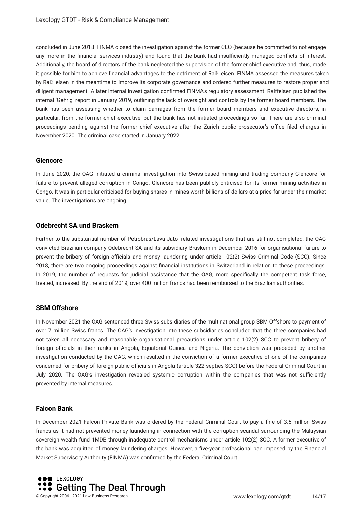concluded in June 2018. FINMA closed the investigation against the former CEO (because he committed to not engage any more in the financial services industry) and found that the bank had insufficiently managed conflicts of interest. Additionally, the board of directors of the bank neglected the supervision of the former chief executive and, thus, made it possible for him to achieve financial advantages to the detriment of Rai<sup>ne</sup> eisen. FINMA assessed the measures taken by Raill eisen in the meantime to improve its corporate governance and ordered further measures to restore proper and diligent management. A later internal investigation confrmed FINMA's regulatory assessment. Raiffeisen published the internal 'Gehrig' report in January 2019, outlining the lack of oversight and controls by the former board members. The bank has been assessing whether to claim damages from the former board members and executive directors, in particular, from the former chief executive, but the bank has not initiated proceedings so far. There are also criminal proceedings pending against the former chief executive after the Zurich public prosecutor's office filed charges in November 2020. The criminal case started in January 2022.

#### **Glencore**

In June 2020, the OAG initiated a criminal investigation into Swiss-based mining and trading company Glencore for failure to prevent alleged corruption in Congo. Glencore has been publicly criticised for its former mining activities in Congo. It was in particular criticised for buying shares in mines worth billions of dollars at a price far under their market value. The investigations are ongoing.

#### **Odebrecht SA und Braskem**

Further to the substantial number of Petrobras/Lava Jato -related investigations that are still not completed, the OAG convicted Brazilian company Odebrecht SA and its subsidiary Braskem in December 2016 for organisational failure to prevent the bribery of foreign officials and money laundering under article 102(2) Swiss Criminal Code (SCC). Since 2018, there are two ongoing proceedings against fnancial institutions in Switzerland in relation to these proceedings. In 2019, the number of requests for judicial assistance that the OAG, more specifcally the competent task force, treated, increased. By the end of 2019, over 400 million francs had been reimbursed to the Brazilian authorities.

#### **SBM Offshore**

In November 2021 the OAG sentenced three Swiss subsidiaries of the multinational group SBM Offshore to payment of over 7 million Swiss francs. The OAG's investigation into these subsidiaries concluded that the three companies had not taken all necessary and reasonable organisational precautions under article 102(2) SCC to prevent bribery of foreign officials in their ranks in Angola, Equatorial Guinea and Nigeria. The conviction was preceded by another investigation conducted by the OAG, which resulted in the conviction of a former executive of one of the companies concerned for bribery of foreign public officials in Angola (article 322 septies SCC) before the Federal Criminal Court in July 2020. The OAG's investigation revealed systemic corruption within the companies that was not sufficiently prevented by internal measures.

#### **Falcon Bank**

In December 2021 Falcon Private Bank was ordered by the Federal Criminal Court to pay a fne of 3.5 million Swiss francs as it had not prevented money laundering in connection with the corruption scandal surrounding the Malaysian sovereign wealth fund 1MDB through inadequate control mechanisms under article 102(2) SCC. A former executive of the bank was acquitted of money laundering charges. However, a fve-year professional ban imposed by the Financial Market Supervisory Authority (FINMA) was confrmed by the Federal Criminal Court.

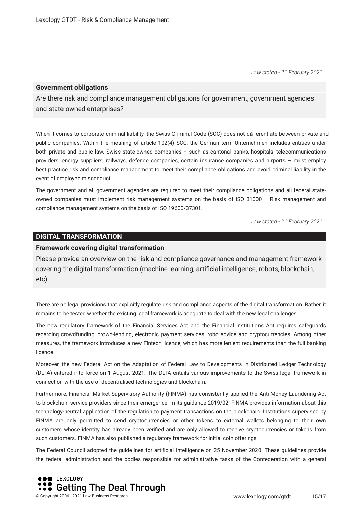#### **Government obligations**

Are there risk and compliance management obligations for government, government agencies and state-owned enterprises?

When it comes to corporate criminal liability, the Swiss Criminal Code (SCC) does not dill erentiate between private and public companies. Within the meaning of article 102(4) SCC, the German term Unternehmen includes entities under both private and public law. Swiss state-owned companies – such as cantonal banks, hospitals, telecommunications providers, energy suppliers, railways, defence companies, certain insurance companies and airports – must employ best practice risk and compliance management to meet their compliance obligations and avoid criminal liability in the event of employee misconduct.

The government and all government agencies are required to meet their compliance obligations and all federal stateowned companies must implement risk management systems on the basis of ISO 31000 – Risk management and compliance management systems on the basis of ISO 19600/37301.

*Law stated - 21 February 2021*

#### **DIGITAL TRANSFORMATION**

#### **Framework covering digital transformation**

Please provide an overview on the risk and compliance governance and management framework covering the digital transformation (machine learning, artifcial intelligence, robots, blockchain, etc).

There are no legal provisions that explicitly regulate risk and compliance aspects of the digital transformation. Rather, it remains to be tested whether the existing legal framework is adequate to deal with the new legal challenges.

The new regulatory framework of the Financial Services Act and the Financial Institutions Act requires safeguards regarding crowdfunding, crowd-lending, electronic payment services, robo advice and cryptocurrencies. Among other measures, the framework introduces a new Fintech licence, which has more lenient requirements than the full banking licence.

Moreover, the new Federal Act on the Adaptation of Federal Law to Developments in Distributed Ledger Technology (DLTA) entered into force on 1 August 2021. The DLTA entails various improvements to the Swiss legal framework in connection with the use of decentralised technologies and blockchain.

Furthermore, Financial Market Supervisory Authority (FINMA) has consistently applied the Anti-Money Laundering Act to blockchain service providers since their emergence. In its guidance 2019/02, FINMA provides information about this technology-neutral application of the regulation to payment transactions on the blockchain. Institutions supervised by FINMA are only permitted to send cryptocurrencies or other tokens to external wallets belonging to their own customers whose identity has already been verifed and are only allowed to receive cryptocurrencies or tokens from such customers. FINMA has also published a regulatory framework for initial coin offerings.

The Federal Council adopted the guidelines for artifcial intelligence on 25 November 2020. These guidelines provide the federal administration and the bodies responsible for administrative tasks of the Confederation with a general

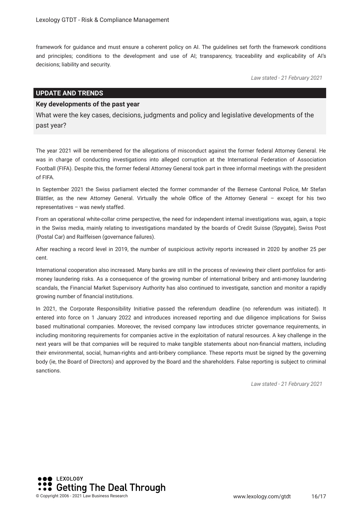framework for guidance and must ensure a coherent policy on AI. The guidelines set forth the framework conditions and principles; conditions to the development and use of AI; transparency, traceability and explicability of AI's decisions; liability and security.

*Law stated - 21 February 2021*

#### **UPDATE AND TRENDS**

#### **Key developments of the past year**

What were the key cases, decisions, judgments and policy and legislative developments of the past year?

The year 2021 will be remembered for the allegations of misconduct against the former federal Attorney General. He was in charge of conducting investigations into alleged corruption at the International Federation of Association Football (FIFA). Despite this, the former federal Attorney General took part in three informal meetings with the president of FIFA.

In September 2021 the Swiss parliament elected the former commander of the Bernese Cantonal Police, Mr Stefan Blättler, as the new Attorney General. Virtually the whole Office of the Attorney General – except for his two representatives – was newly staffed.

From an operational white-collar crime perspective, the need for independent internal investigations was, again, a topic in the Swiss media, mainly relating to investigations mandated by the boards of Credit Suisse (Spygate), Swiss Post (Postal Car) and Raiffeisen (governance failures).

After reaching a record level in 2019, the number of suspicious activity reports increased in 2020 by another 25 per cent.

International cooperation also increased. Many banks are still in the process of reviewing their client portfolios for antimoney laundering risks. As a consequence of the growing number of international bribery and anti-money laundering scandals, the Financial Market Supervisory Authority has also continued to investigate, sanction and monitor a rapidly growing number of fnancial institutions.

In 2021, the Corporate Responsibility Initiative passed the referendum deadline (no referendum was initiated). It entered into force on 1 January 2022 and introduces increased reporting and due diligence implications for Swiss based multinational companies. Moreover, the revised company law introduces stricter governance requirements, in including monitoring requirements for companies active in the exploitation of natural resources. A key challenge in the next years will be that companies will be required to make tangible statements about non-fnancial matters, including their environmental, social, human-rights and anti-bribery compliance. These reports must be signed by the governing body (ie, the Board of Directors) and approved by the Board and the shareholders. False reporting is subject to criminal sanctions.